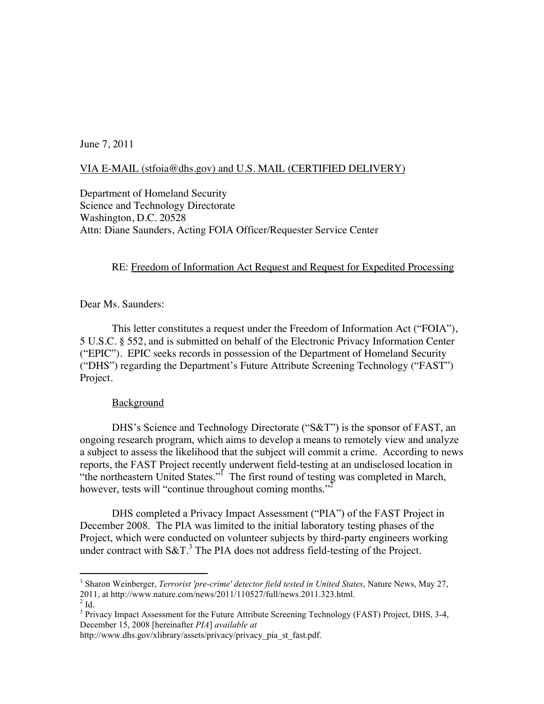June 7, 2011

# VIA E-MAIL (stfoia@dhs.gov) and U.S. MAIL (CERTIFIED DELIVERY)

Department of Homeland Security Science and Technology Directorate Washington, D.C. 20528 Attn: Diane Saunders, Acting FOIA Officer/Requester Service Center

# RE: Freedom of Information Act Request and Request for Expedited Processing

Dear Ms. Saunders:

This letter constitutes a request under the Freedom of Information Act ("FOIA"), 5 U.S.C. § 552, and is submitted on behalf of the Electronic Privacy Information Center ("EPIC"). EPIC seeks records in possession of the Department of Homeland Security ("DHS") regarding the Department's Future Attribute Screening Technology ("FAST") Project.

## **Background**

DHS's Science and Technology Directorate ("S&T") is the sponsor of FAST, an ongoing research program, which aims to develop a means to remotely view and analyze a subject to assess the likelihood that the subject will commit a crime. According to news reports, the FAST Project recently underwent field-testing at an undisclosed location in "the northeastern United States."<sup>I</sup> The first round of testing was completed in March, however, tests will "continue throughout coming months."<sup>2</sup>

DHS completed a Privacy Impact Assessment ("PIA") of the FAST Project in December 2008. The PIA was limited to the initial laboratory testing phases of the Project, which were conducted on volunteer subjects by third-party engineers working under contract with  $S\&T$ <sup>3</sup>. The PIA does not address field-testing of the Project.

<sup>&</sup>lt;sup>1</sup> Sharon Weinberger, *Terrorist 'pre-crime' detector field tested in United States*, Nature News, May 27, 2011, at http://www.nature.com/news/2011/110527/full/news.2011.323.html. <sup>2</sup>

 $\overline{2}$  Id.

<sup>&</sup>lt;sup>3</sup> Privacy Impact Assessment for the Future Attribute Screening Technology (FAST) Project, DHS, 3-4, December 15, 2008 [hereinafter *PIA*] *available at*

http://www.dhs.gov/xlibrary/assets/privacy/privacy\_pia\_st\_fast.pdf.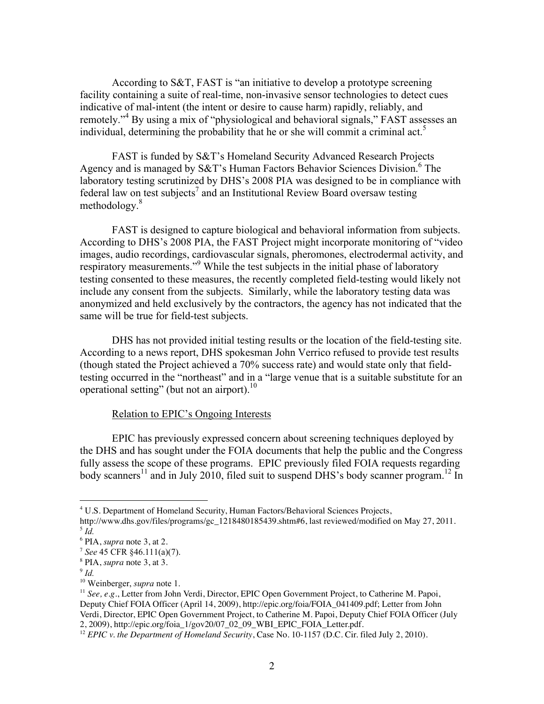According to S&T, FAST is "an initiative to develop a prototype screening facility containing a suite of real-time, non-invasive sensor technologies to detect cues indicative of mal-intent (the intent or desire to cause harm) rapidly, reliably, and remotely."<sup>4</sup> By using a mix of "physiological and behavioral signals," FAST assesses an individual, determining the probability that he or she will commit a criminal act.<sup>5</sup>

FAST is funded by S&T's Homeland Security Advanced Research Projects Agency and is managed by  $S\&T$ 's Human Factors Behavior Sciences Division.<sup>6</sup> The laboratory testing scrutinized by DHS's 2008 PIA was designed to be in compliance with federal law on test subjects<sup>7</sup> and an Institutional Review Board oversaw testing methodology.<sup>8</sup>

FAST is designed to capture biological and behavioral information from subjects. According to DHS's 2008 PIA, the FAST Project might incorporate monitoring of "video images, audio recordings, cardiovascular signals, pheromones, electrodermal activity, and respiratory measurements."<sup>9</sup> While the test subjects in the initial phase of laboratory testing consented to these measures, the recently completed field-testing would likely not include any consent from the subjects. Similarly, while the laboratory testing data was anonymized and held exclusively by the contractors, the agency has not indicated that the same will be true for field-test subjects.

DHS has not provided initial testing results or the location of the field-testing site. According to a news report, DHS spokesman John Verrico refused to provide test results (though stated the Project achieved a 70% success rate) and would state only that fieldtesting occurred in the "northeast" and in a "large venue that is a suitable substitute for an operational setting" (but not an airport).<sup>10</sup>

#### Relation to EPIC's Ongoing Interests

EPIC has previously expressed concern about screening techniques deployed by the DHS and has sought under the FOIA documents that help the public and the Congress fully assess the scope of these programs. EPIC previously filed FOIA requests regarding body scanners<sup>11</sup> and in July 2010, filed suit to suspend DHS's body scanner program.<sup>12</sup> In

 $\frac{1}{4}$ <sup>4</sup> U.S. Department of Homeland Security, Human Factors/Behavioral Sciences Projects,

http://www.dhs.gov/files/programs/gc\_1218480185439.shtm#6, last reviewed/modified on May 27, 2011. <sup>5</sup> *Id.*

<sup>6</sup> PIA, *supra* note 3, at 2.

<sup>7</sup> *See* 45 CFR §46.111(a)(7).

<sup>8</sup> PIA, *supra* note 3, at 3.

<sup>9</sup> *Id.*

<sup>10</sup> Weinberger, *supra* note 1.

<sup>11</sup> *See, e.g.*, Letter from John Verdi, Director, EPIC Open Government Project, to Catherine M. Papoi, Deputy Chief FOIA Officer (April 14, 2009), http://epic.org/foia/FOIA\_041409.pdf; Letter from John Verdi, Director, EPIC Open Government Project, to Catherine M. Papoi, Deputy Chief FOIA Officer (July 2, 2009), http://epic.org/foia\_1/gov20/07\_02\_09\_WBI\_EPIC\_FOIA\_Letter.pdf.

<sup>&</sup>lt;sup>12</sup> *EPIC v. the Department of Homeland Security*, Case No. 10-1157 (D.C. Cir. filed July 2, 2010).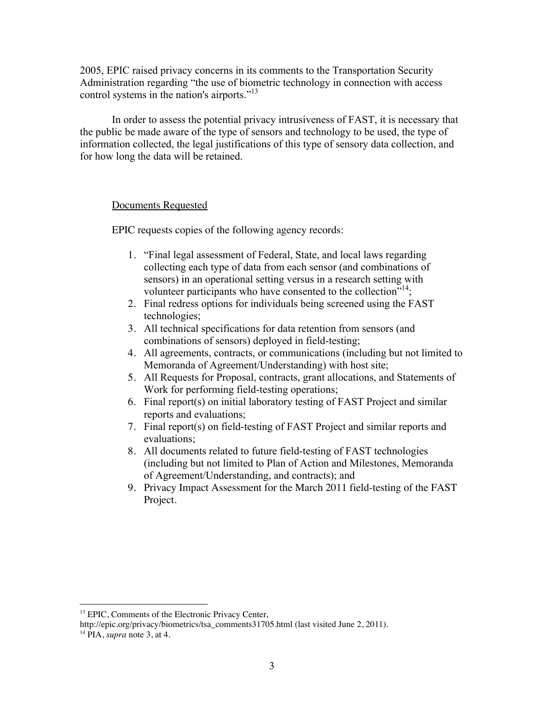2005, EPIC raised privacy concerns in its comments to the Transportation Security Administration regarding "the use of biometric technology in connection with access control systems in the nation's airports."13

In order to assess the potential privacy intrusiveness of FAST, it is necessary that the public be made aware of the type of sensors and technology to be used, the type of information collected, the legal justifications of this type of sensory data collection, and for how long the data will be retained.

## Documents Requested

EPIC requests copies of the following agency records:

- 1. "Final legal assessment of Federal, State, and local laws regarding collecting each type of data from each sensor (and combinations of sensors) in an operational setting versus in a research setting with volunteer participants who have consented to the collection"<sup>14</sup>;
- 2. Final redress options for individuals being screened using the FAST technologies;
- 3. All technical specifications for data retention from sensors (and combinations of sensors) deployed in field-testing;
- 4. All agreements, contracts, or communications (including but not limited to Memoranda of Agreement/Understanding) with host site;
- 5. All Requests for Proposal, contracts, grant allocations, and Statements of Work for performing field-testing operations;
- 6. Final report(s) on initial laboratory testing of FAST Project and similar reports and evaluations;
- 7. Final report(s) on field-testing of FAST Project and similar reports and evaluations;
- 8. All documents related to future field-testing of FAST technologies (including but not limited to Plan of Action and Milestones, Memoranda of Agreement/Understanding, and contracts); and
- 9. Privacy Impact Assessment for the March 2011 field-testing of the FAST Project.

<sup>&</sup>lt;sup>13</sup> EPIC, Comments of the Electronic Privacy Center,

http://epic.org/privacy/biometrics/tsa\_comments31705.html (last visited June 2, 2011).

<sup>14</sup> PIA, *supra* note 3, at 4.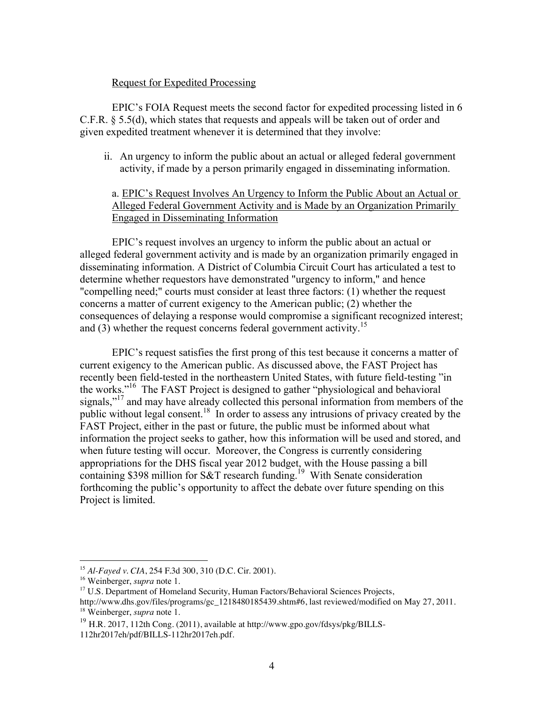#### Request for Expedited Processing

EPIC's FOIA Request meets the second factor for expedited processing listed in 6 C.F.R. § 5.5(d), which states that requests and appeals will be taken out of order and given expedited treatment whenever it is determined that they involve:

ii. An urgency to inform the public about an actual or alleged federal government activity, if made by a person primarily engaged in disseminating information.

# a. EPIC's Request Involves An Urgency to Inform the Public About an Actual or Alleged Federal Government Activity and is Made by an Organization Primarily Engaged in Disseminating Information

EPIC's request involves an urgency to inform the public about an actual or alleged federal government activity and is made by an organization primarily engaged in disseminating information. A District of Columbia Circuit Court has articulated a test to determine whether requestors have demonstrated "urgency to inform," and hence "compelling need;" courts must consider at least three factors: (1) whether the request concerns a matter of current exigency to the American public; (2) whether the consequences of delaying a response would compromise a significant recognized interest; and (3) whether the request concerns federal government activity.<sup>15</sup>

EPIC's request satisfies the first prong of this test because it concerns a matter of current exigency to the American public. As discussed above, the FAST Project has recently been field-tested in the northeastern United States, with future field-testing "in the works."16 The FAST Project is designed to gather "physiological and behavioral signals,"<sup>17</sup> and may have already collected this personal information from members of the public without legal consent.18 In order to assess any intrusions of privacy created by the FAST Project, either in the past or future, the public must be informed about what information the project seeks to gather, how this information will be used and stored, and when future testing will occur. Moreover, the Congress is currently considering appropriations for the DHS fiscal year 2012 budget, with the House passing a bill containing \$398 million for S&T research funding.<sup>19</sup> With Senate consideration forthcoming the public's opportunity to affect the debate over future spending on this Project is limited.

 <sup>15</sup> *Al-Fayed v. CIA*, 254 F.3d 300, 310 (D.C. Cir. 2001).

<sup>16</sup> Weinberger, *supra* note 1.

<sup>&</sup>lt;sup>17</sup> U.S. Department of Homeland Security, Human Factors/Behavioral Sciences Projects,

http://www.dhs.gov/files/programs/gc\_1218480185439.shtm#6, last reviewed/modified on May 27, 2011. <sup>18</sup> Weinberger, *supra* note 1.

<sup>&</sup>lt;sup>19</sup> H.R. 2017, 112th Cong. (2011), available at http://www.gpo.gov/fdsys/pkg/BILLS-112hr2017eh/pdf/BILLS-112hr2017eh.pdf.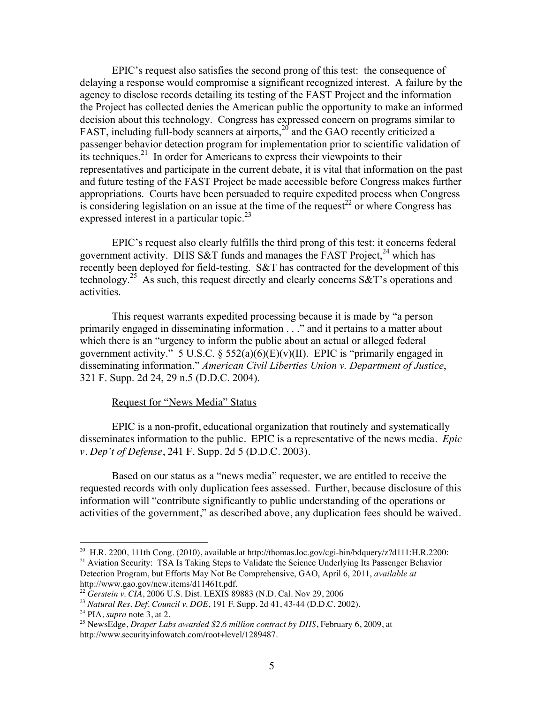EPIC's request also satisfies the second prong of this test: the consequence of delaying a response would compromise a significant recognized interest. A failure by the agency to disclose records detailing its testing of the FAST Project and the information the Project has collected denies the American public the opportunity to make an informed decision about this technology. Congress has expressed concern on programs similar to FAST, including full-body scanners at airports,<sup>20</sup> and the GAO recently criticized a passenger behavior detection program for implementation prior to scientific validation of its techniques.<sup>21</sup> In order for Americans to express their viewpoints to their representatives and participate in the current debate, it is vital that information on the past and future testing of the FAST Project be made accessible before Congress makes further appropriations. Courts have been persuaded to require expedited process when Congress is considering legislation on an issue at the time of the request<sup>22</sup> or where Congress has expressed interest in a particular topic.<sup>23</sup>

EPIC's request also clearly fulfills the third prong of this test: it concerns federal government activity. DHS S&T funds and manages the FAST Project.<sup>24</sup> which has recently been deployed for field-testing. S&T has contracted for the development of this technology.25 As such, this request directly and clearly concerns S&T's operations and activities.

This request warrants expedited processing because it is made by "a person primarily engaged in disseminating information . . ." and it pertains to a matter about which there is an "urgency to inform the public about an actual or alleged federal government activity." 5 U.S.C.  $\S$  552(a)(6)(E)(v)(II). EPIC is "primarily engaged in disseminating information." *American Civil Liberties Union v. Department of Justice*, 321 F. Supp. 2d 24, 29 n.5 (D.D.C. 2004).

## Request for "News Media" Status

EPIC is a non-profit, educational organization that routinely and systematically disseminates information to the public. EPIC is a representative of the news media. *Epic v. Dep't of Defense*, 241 F. Supp. 2d 5 (D.D.C. 2003).

Based on our status as a "news media" requester, we are entitled to receive the requested records with only duplication fees assessed. Further, because disclosure of this information will "contribute significantly to public understanding of the operations or activities of the government," as described above, any duplication fees should be waived.

 $^{20}$  H.R. 2200, 111th Cong. (2010), available at http://thomas.loc.gov/cgi-bin/bdquery/z?d111:H.R.2200: <sup>21</sup> Aviation Security: TSA Is Taking Steps to Validate the Science Underlying Its Passenger Behavior

Detection Program, but Efforts May Not Be Comprehensive, GAO, April 6, 2011, *available at* http://www.gao.gov/new.items/d11461t.pdf.

<sup>22</sup> *Gerstein v. CIA*, 2006 U.S. Dist. LEXIS 89883 (N.D. Cal. Nov 29, 2006

<sup>23</sup> *Natural Res. Def. Council v. DOE*, 191 F. Supp. 2d 41, 43-44 (D.D.C. 2002).

<sup>24</sup> PIA, *supra* note 3, at 2.

<sup>25</sup> NewsEdge, *Draper Labs awarded \$2.6 million contract by DHS*, February 6, 2009, at http://www.securityinfowatch.com/root+level/1289487.